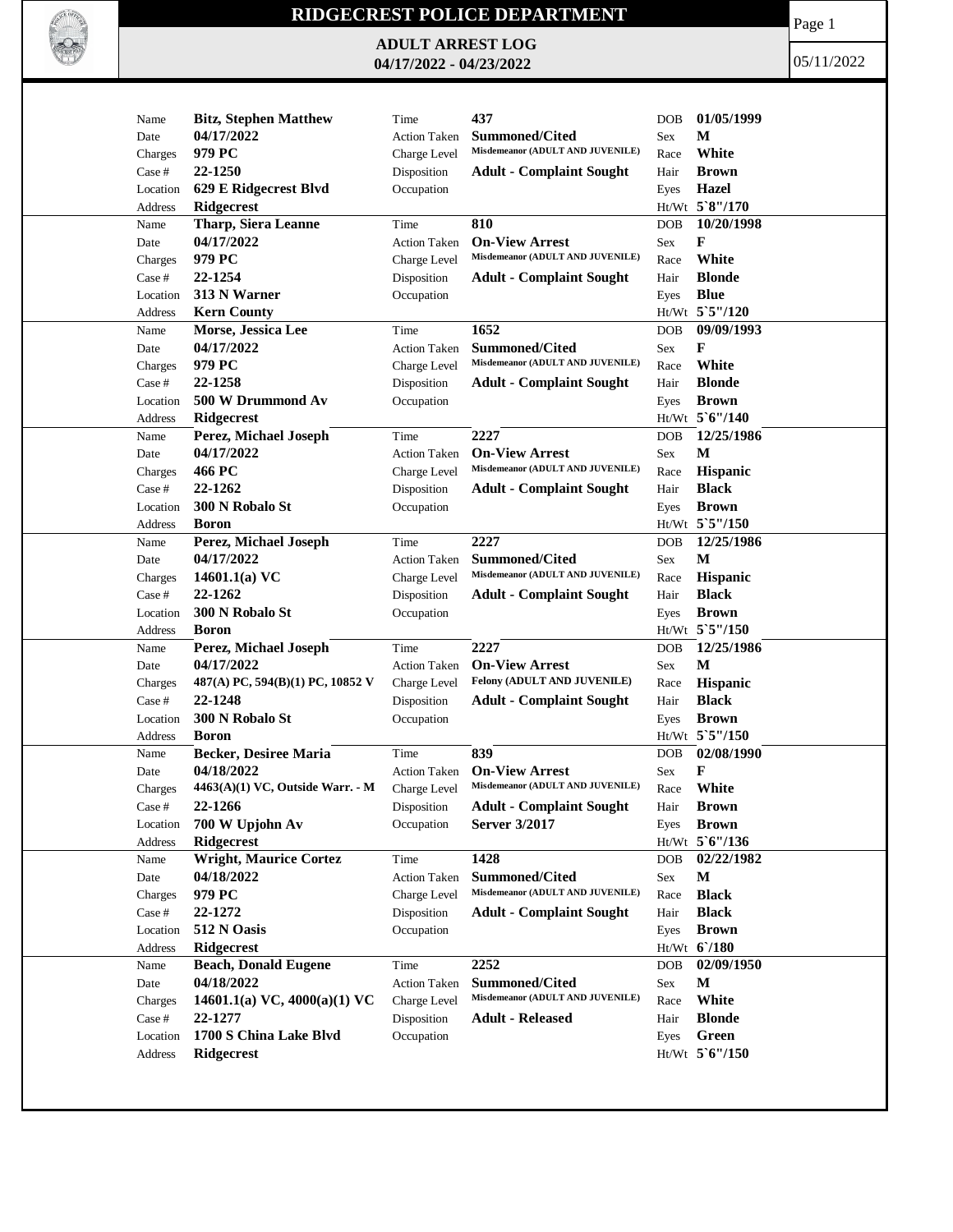

## **RIDGECREST POLICE DEPARTMENT**

**ADULT ARREST LOG 04/17/2022 - 04/23/2022**

Page 1

05/11/2022

|          |                                    |                     | 437                                                       |            |                  |
|----------|------------------------------------|---------------------|-----------------------------------------------------------|------------|------------------|
| Name     | <b>Bitz, Stephen Matthew</b>       | Time                |                                                           | <b>DOB</b> | 01/05/1999       |
| Date     | 04/17/2022                         | <b>Action Taken</b> | <b>Summoned/Cited</b><br>Misdemeanor (ADULT AND JUVENILE) | <b>Sex</b> | М                |
| Charges  | 979 PC                             | Charge Level        |                                                           | Race       | White            |
| Case #   | 22-1250                            | Disposition         | <b>Adult - Complaint Sought</b>                           | Hair       | <b>Brown</b>     |
| Location | 629 E Ridgecrest Blvd              | Occupation          |                                                           | Eyes       | Hazel            |
| Address  | <b>Ridgecrest</b>                  |                     |                                                           |            | Ht/Wt 5`8"/170   |
| Name     | <b>Tharp, Siera Leanne</b>         | Time                | 810                                                       | <b>DOB</b> | 10/20/1998       |
| Date     | 04/17/2022                         | <b>Action Taken</b> | <b>On-View Arrest</b>                                     | Sex        | F                |
| Charges  | 979 PC                             | Charge Level        | Misdemeanor (ADULT AND JUVENILE)                          | Race       | White            |
| Case #   | 22-1254                            | Disposition         | <b>Adult - Complaint Sought</b>                           | Hair       | <b>Blonde</b>    |
| Location | 313 N Warner                       | Occupation          |                                                           | Eyes       | <b>Blue</b>      |
| Address  | <b>Kern County</b>                 |                     |                                                           |            | Ht/Wt 5`5"/120   |
| Name     | Morse, Jessica Lee                 | Time                | 1652                                                      | DOB        | 09/09/1993       |
| Date     | 04/17/2022                         | <b>Action Taken</b> | <b>Summoned/Cited</b>                                     | Sex        | F                |
| Charges  | 979 PC                             | Charge Level        | Misdemeanor (ADULT AND JUVENILE)                          | Race       | White            |
| Case #   | 22-1258                            | Disposition         | <b>Adult - Complaint Sought</b>                           | Hair       | <b>Blonde</b>    |
| Location | 500 W Drummond Av                  | Occupation          |                                                           | Eyes       | <b>Brown</b>     |
| Address  | Ridgecrest                         |                     |                                                           |            | $Ht/Wt$ 5 6"/140 |
| Name     | Perez, Michael Joseph              | Time                | 2227                                                      | <b>DOB</b> | 12/25/1986       |
| Date     | 04/17/2022                         | <b>Action Taken</b> | <b>On-View Arrest</b>                                     | Sex        | М                |
| Charges  | 466 PC                             | Charge Level        | Misdemeanor (ADULT AND JUVENILE)                          | Race       | Hispanic         |
| Case #   | 22-1262                            | Disposition         | <b>Adult - Complaint Sought</b>                           | Hair       | <b>Black</b>     |
| Location | 300 N Robalo St                    | Occupation          |                                                           | Eyes       | <b>Brown</b>     |
| Address  | <b>Boron</b>                       |                     |                                                           |            | Ht/Wt 5`5"/150   |
| Name     | Perez, Michael Joseph              | Time                | 2227                                                      | <b>DOB</b> | 12/25/1986       |
| Date     | 04/17/2022                         | <b>Action Taken</b> | <b>Summoned/Cited</b>                                     | Sex        | M                |
| Charges  | 14601.1(a) $VC$                    | Charge Level        | Misdemeanor (ADULT AND JUVENILE)                          | Race       | <b>Hispanic</b>  |
| Case #   | 22-1262                            | Disposition         | <b>Adult - Complaint Sought</b>                           | Hair       | <b>Black</b>     |
| Location | 300 N Robalo St                    | Occupation          |                                                           | Eyes       | <b>Brown</b>     |
| Address  | <b>Boron</b>                       |                     |                                                           |            | Ht/Wt 5`5"/150   |
| Name     | Perez, Michael Joseph              | Time                | 2227                                                      | <b>DOB</b> | 12/25/1986       |
| Date     | 04/17/2022                         | <b>Action Taken</b> | <b>On-View Arrest</b>                                     | Sex        | M                |
| Charges  | 487(A) PC, 594(B)(1) PC, 10852 V   | Charge Level        | Felony (ADULT AND JUVENILE)                               | Race       | Hispanic         |
| Case #   | 22-1248                            | Disposition         | <b>Adult - Complaint Sought</b>                           | Hair       | <b>Black</b>     |
| Location | 300 N Robalo St                    | Occupation          |                                                           | Eyes       | <b>Brown</b>     |
| Address  | <b>Boron</b>                       |                     |                                                           |            | $Ht/Wt$ 5 5"/150 |
| Name     | <b>Becker, Desiree Maria</b>       | Time                | 839                                                       | <b>DOB</b> | 02/08/1990       |
| Date     | 04/18/2022                         | <b>Action Taken</b> | <b>On-View Arrest</b>                                     | <b>Sex</b> | F                |
| Charges  | $4463(A)(1)$ VC, Outside Warr. - M | Charge Level        | Misdemeanor (ADULT AND JUVENILE)                          | Race       | White            |
| Case #   | 22-1266                            | Disposition         | <b>Adult - Complaint Sought</b>                           | Hair       | <b>Brown</b>     |
| Location | 700 W Upjohn Av                    | Occupation          | Server 3/2017                                             | Eyes       | <b>Brown</b>     |
| Address  | Ridgecrest                         |                     |                                                           |            | Ht/Wt 5'6"/136   |
| Name     | <b>Wright, Maurice Cortez</b>      | Time                | 1428                                                      | DOB        | 02/22/1982       |
| Date     | 04/18/2022                         | <b>Action Taken</b> | Summoned/Cited                                            | Sex        | M                |
| Charges  | 979 PC                             | Charge Level        | Misdemeanor (ADULT AND JUVENILE)                          | Race       | <b>Black</b>     |
| Case #   | 22-1272                            | Disposition         | <b>Adult - Complaint Sought</b>                           | Hair       | <b>Black</b>     |
| Location | 512 N Oasis                        | Occupation          |                                                           | Eyes       | <b>Brown</b>     |
| Address  | <b>Ridgecrest</b>                  |                     |                                                           |            | $Ht/Wt$ 6/180    |
| Name     | <b>Beach, Donald Eugene</b>        | Time                | 2252                                                      | <b>DOB</b> | 02/09/1950       |
| Date     | 04/18/2022                         | <b>Action Taken</b> | <b>Summoned/Cited</b>                                     | Sex        | M                |
| Charges  | 14601.1(a) VC, $4000(a)(1)$ VC     | Charge Level        | Misdemeanor (ADULT AND JUVENILE)                          | Race       | White            |
| Case #   | 22-1277                            | Disposition         | <b>Adult - Released</b>                                   | Hair       | <b>Blonde</b>    |
| Location | 1700 S China Lake Blvd             | Occupation          |                                                           | Eyes       | Green            |
| Address  | <b>Ridgecrest</b>                  |                     |                                                           |            | Ht/Wt 5'6"/150   |
|          |                                    |                     |                                                           |            |                  |
|          |                                    |                     |                                                           |            |                  |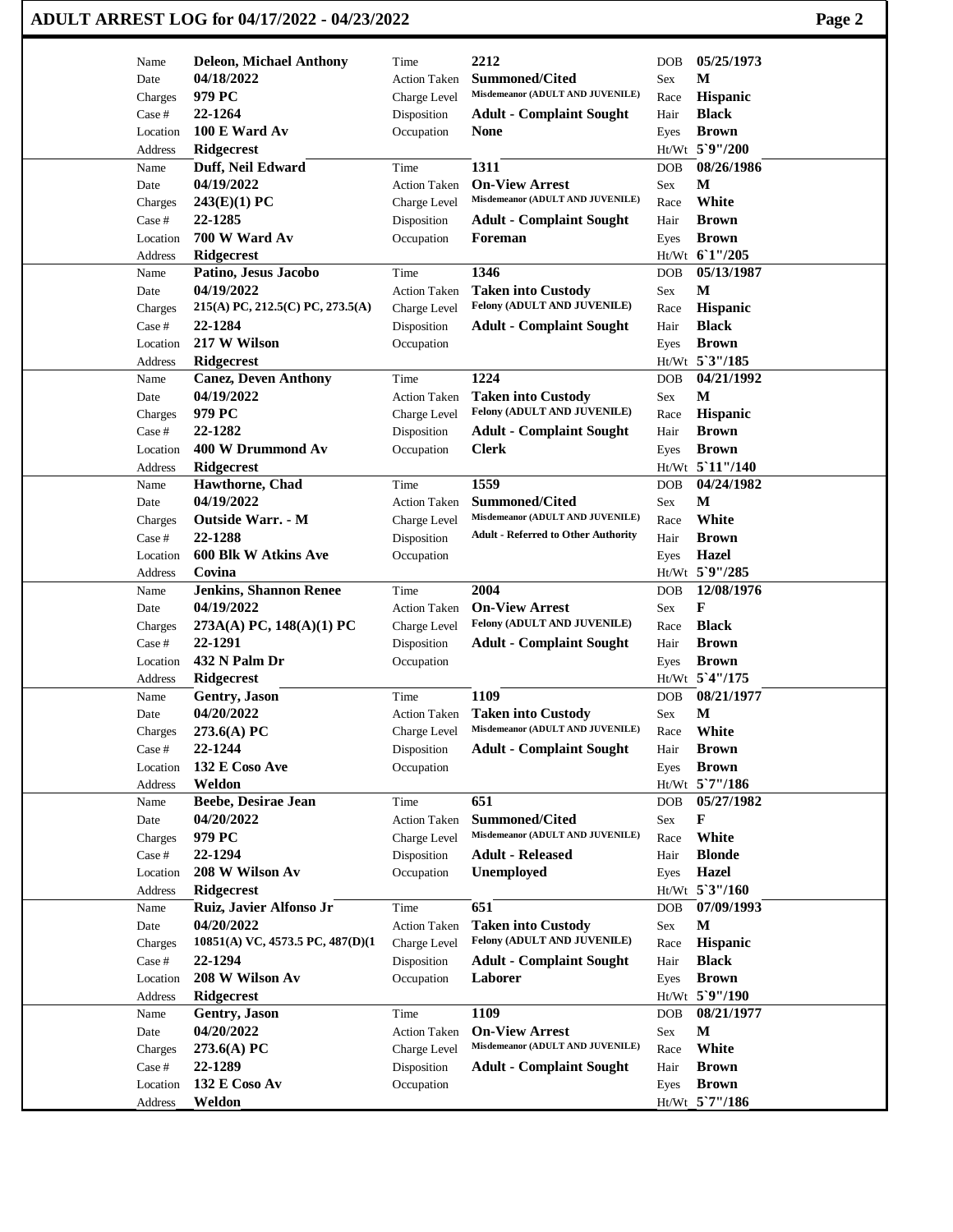## **ADULT ARREST LOG for 04/17/2022 - 04/23/2022 Page 2**

| Name              | <b>Deleon, Michael Anthony</b>              | Time                                | 2212                                                      | <b>DOB</b>  | 05/25/1973              |
|-------------------|---------------------------------------------|-------------------------------------|-----------------------------------------------------------|-------------|-------------------------|
| Date              | 04/18/2022                                  | <b>Action Taken</b>                 | <b>Summoned/Cited</b>                                     | Sex         | M                       |
| Charges           | 979 PC                                      | Charge Level                        | Misdemeanor (ADULT AND JUVENILE)                          | Race        | Hispanic                |
| Case #            | 22-1264                                     | Disposition                         | <b>Adult - Complaint Sought</b>                           | Hair        | <b>Black</b>            |
| Location          | 100 E Ward Av                               | Occupation                          | <b>None</b>                                               | Eyes        | <b>Brown</b>            |
| Address           | Ridgecrest                                  |                                     |                                                           |             | Ht/Wt 5`9"/200          |
| Name              | Duff, Neil Edward                           | Time                                | 1311                                                      | <b>DOB</b>  | 08/26/1986              |
| Date              | 04/19/2022                                  | <b>Action Taken</b>                 | <b>On-View Arrest</b>                                     | Sex         | М                       |
| Charges           | 243(E)(1) PC                                | Charge Level                        | Misdemeanor (ADULT AND JUVENILE)                          | Race        | White                   |
| Case #            | 22-1285                                     | Disposition                         | <b>Adult - Complaint Sought</b>                           | Hair        | <b>Brown</b>            |
| Location          | 700 W Ward Av                               | Occupation                          | Foreman                                                   | Eyes        | <b>Brown</b>            |
| Address           | <b>Ridgecrest</b>                           |                                     |                                                           |             | Ht/Wt 61"/205           |
| Name              | Patino, Jesus Jacobo                        | Time                                | 1346                                                      | <b>DOB</b>  | 05/13/1987              |
| Date              | 04/19/2022                                  | <b>Action Taken</b>                 | <b>Taken into Custody</b>                                 | Sex         | M                       |
| Charges           | $215(A)$ PC, $212.5(C)$ PC, $273.5(A)$      | Charge Level                        | Felony (ADULT AND JUVENILE)                               | Race        | Hispanic                |
| Case #            | 22-1284                                     | Disposition                         | <b>Adult - Complaint Sought</b>                           | Hair        | <b>Black</b>            |
| Location          | 217 W Wilson                                | Occupation                          |                                                           | Eyes        | <b>Brown</b>            |
| Address           | Ridgecrest                                  |                                     |                                                           |             | Ht/Wt 5'3"/185          |
| Name              | <b>Canez, Deven Anthony</b>                 | Time                                | 1224                                                      | <b>DOB</b>  | 04/21/1992              |
| Date              | 04/19/2022                                  | <b>Action Taken</b>                 | <b>Taken into Custody</b>                                 | Sex         | $\mathbf M$             |
| Charges           | 979 PC                                      | Charge Level                        | Felony (ADULT AND JUVENILE)                               | Race        | Hispanic                |
| Case #            | 22-1282                                     | Disposition                         | <b>Adult - Complaint Sought</b>                           | Hair        | <b>Brown</b>            |
| Location          | 400 W Drummond Av                           | Occupation                          | <b>Clerk</b>                                              | Eyes        | <b>Brown</b>            |
| Address           | Ridgecrest                                  |                                     |                                                           |             | Ht/Wt 5'11"/140         |
| Name              | Hawthorne, Chad                             | Time                                | 1559                                                      | <b>DOB</b>  | 04/24/1982              |
| Date              | 04/19/2022                                  | <b>Action Taken</b>                 | <b>Summoned/Cited</b><br>Misdemeanor (ADULT AND JUVENILE) | Sex         | М                       |
| Charges           | Outside Warr. - M                           | Charge Level                        |                                                           | Race        | White                   |
| Case #            | 22-1288                                     | Disposition                         | <b>Adult - Referred to Other Authority</b>                | Hair        | <b>Brown</b>            |
| Location          | 600 Blk W Atkins Ave<br>Covina              | Occupation                          |                                                           | Eyes        | Hazel<br>Ht/Wt 5`9"/285 |
| Address           |                                             | Time                                | 2004                                                      |             | 12/08/1976              |
| Name              | <b>Jenkins, Shannon Renee</b><br>04/19/2022 |                                     | <b>On-View Arrest</b>                                     | <b>DOB</b>  | F                       |
| Date              | 273A(A) PC, 148(A)(1) PC                    | <b>Action Taken</b><br>Charge Level | Felony (ADULT AND JUVENILE)                               | Sex<br>Race | <b>Black</b>            |
| Charges<br>Case # | 22-1291                                     | Disposition                         | <b>Adult - Complaint Sought</b>                           | Hair        | <b>Brown</b>            |
| Location          | 432 N Palm Dr                               | Occupation                          |                                                           | Eyes        | <b>Brown</b>            |
| Address           | Ridgecrest                                  |                                     |                                                           |             | Ht/Wt 5'4"/175          |
| Name              | <b>Gentry, Jason</b>                        | Time                                | 1109                                                      | <b>DOB</b>  | 08/21/1977              |
| Date              | 04/20/2022                                  | <b>Action Taken</b>                 | <b>Taken into Custody</b>                                 | Sex         | $\mathbf M$             |
| Charges           | $273.6(A)$ PC                               | Charge Level                        | Misdemeanor (ADULT AND JUVENILE)                          | Race        | White                   |
| Case #            | 22-1244                                     | Disposition                         | <b>Adult - Complaint Sought</b>                           | Hair        | <b>Brown</b>            |
| Location          | 132 E Coso Ave                              | Occupation                          |                                                           | Eyes        | <b>Brown</b>            |
| Address           | Weldon                                      |                                     |                                                           |             | Ht/Wt 5`7"/186          |
| Name              | Beebe, Desirae Jean                         | Time                                | 651                                                       | DOB         | 05/27/1982              |
| Date              | 04/20/2022                                  | Action Taken                        | <b>Summoned/Cited</b>                                     | Sex         | F                       |
| Charges           | 979 PC                                      | Charge Level                        | Misdemeanor (ADULT AND JUVENILE)                          | Race        | White                   |
| Case #            | 22-1294                                     | Disposition                         | <b>Adult - Released</b>                                   | Hair        | <b>Blonde</b>           |
| Location          | 208 W Wilson Av                             | Occupation                          | Unemployed                                                | Eyes        | <b>Hazel</b>            |
| Address           | <b>Ridgecrest</b>                           |                                     |                                                           |             | Ht/Wt 5'3"/160          |
| Name              | Ruiz, Javier Alfonso Jr                     | Time                                | 651                                                       | DOB         | 07/09/1993              |
| Date              | 04/20/2022                                  | <b>Action Taken</b>                 | <b>Taken into Custody</b>                                 | Sex         | $\mathbf M$             |
| Charges           | $10851(A)$ VC, 4573.5 PC, 487(D)(1          | Charge Level                        | Felony (ADULT AND JUVENILE)                               | Race        | Hispanic                |
| Case #            | 22-1294                                     | Disposition                         | <b>Adult - Complaint Sought</b>                           | Hair        | <b>Black</b>            |
| Location          | 208 W Wilson Av                             | Occupation                          | Laborer                                                   | Eyes        | <b>Brown</b>            |
| Address           | Ridgecrest                                  |                                     |                                                           |             | Ht/Wt 5`9"/190          |
| Name              | Gentry, Jason                               | Time                                | 1109                                                      | <b>DOB</b>  | 08/21/1977              |
| Date              | 04/20/2022                                  | Action Taken                        | <b>On-View Arrest</b>                                     | Sex         | $\mathbf M$             |
| Charges           | 273.6(A) PC                                 | Charge Level                        | Misdemeanor (ADULT AND JUVENILE)                          | Race        | White                   |
| Case #            | 22-1289                                     | Disposition                         | <b>Adult - Complaint Sought</b>                           | Hair        | <b>Brown</b>            |
| Location          | <b>132 E Coso Av</b>                        | Occupation                          |                                                           | Eyes        | <b>Brown</b>            |
| Address           | Weldon                                      |                                     |                                                           |             | Ht/Wt_5`7"/186          |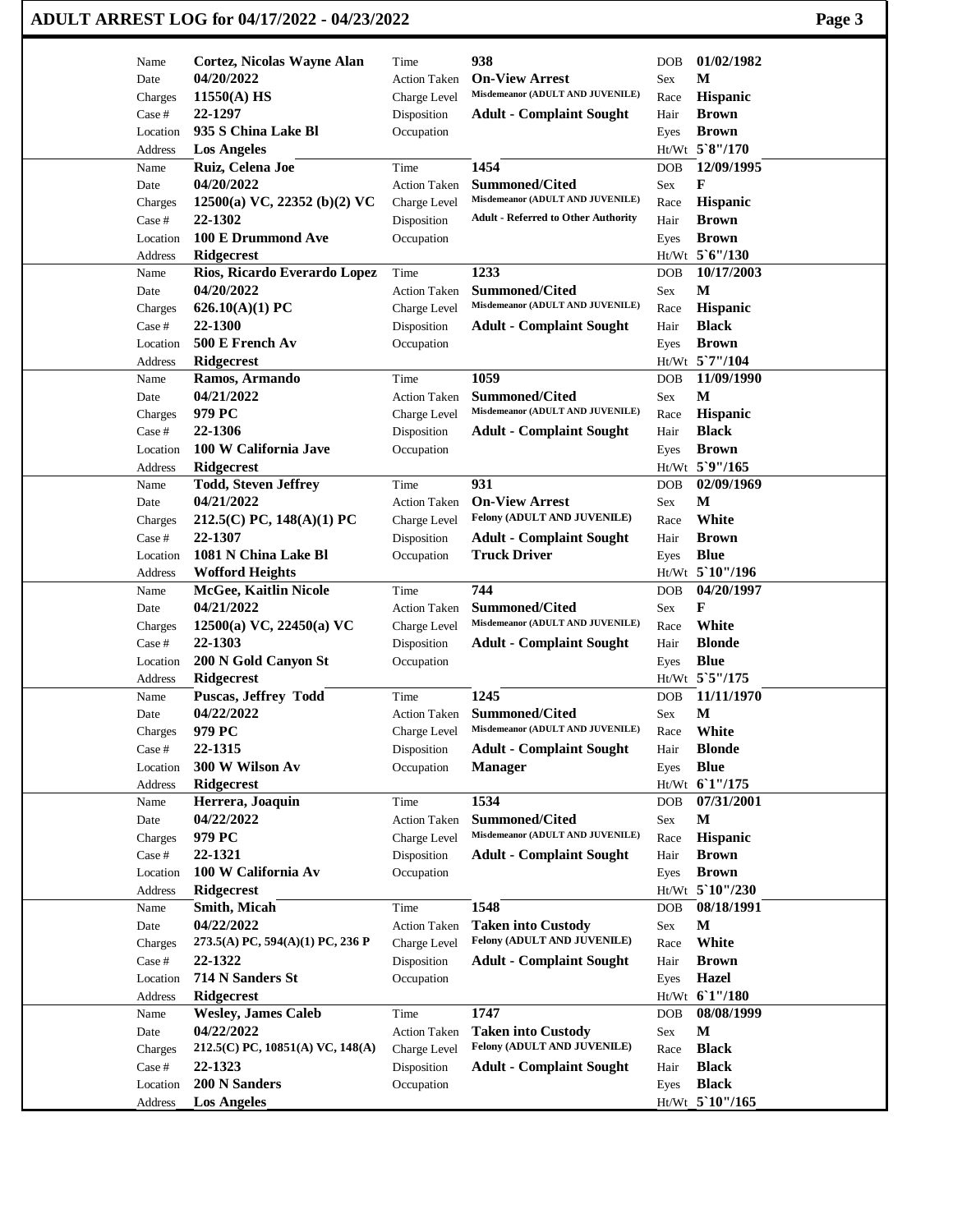| ADULT ARREST LOG for 04/17/2022 - 04/23/2022 | Page 3 |
|----------------------------------------------|--------|
|----------------------------------------------|--------|

| Name     | Cortez, Nicolas Wayne Alan       | Time                | 938                                        | <b>DOB</b> | 01/02/1982                            |
|----------|----------------------------------|---------------------|--------------------------------------------|------------|---------------------------------------|
| Date     | 04/20/2022                       | <b>Action Taken</b> | <b>On-View Arrest</b>                      | Sex        | M                                     |
| Charges  | 11550(A) HS                      | Charge Level        | Misdemeanor (ADULT AND JUVENILE)           | Race       | Hispanic                              |
| Case #   | 22-1297                          | Disposition         | <b>Adult - Complaint Sought</b>            | Hair       | <b>Brown</b>                          |
| Location | 935 S China Lake Bl              | Occupation          |                                            | Eyes       | <b>Brown</b>                          |
| Address  | <b>Los Angeles</b>               |                     |                                            |            | Ht/Wt $5^{\circ}8^{\prime\prime}/170$ |
| Name     | Ruiz, Celena Joe                 | Time                | 1454                                       | <b>DOB</b> | 12/09/1995                            |
| Date     | 04/20/2022                       | <b>Action Taken</b> | <b>Summoned/Cited</b>                      | Sex        | F                                     |
| Charges  | 12500(a) VC, 22352 (b)(2) VC     | Charge Level        | Misdemeanor (ADULT AND JUVENILE)           | Race       | Hispanic                              |
| Case #   | 22-1302                          | Disposition         | <b>Adult - Referred to Other Authority</b> | Hair       | <b>Brown</b>                          |
| Location | 100 E Drummond Ave               | Occupation          |                                            | Eyes       | <b>Brown</b>                          |
| Address  | <b>Ridgecrest</b>                |                     |                                            |            | Ht/Wt 5'6"/130                        |
| Name     | Rios, Ricardo Everardo Lopez     | Time                | 1233                                       | <b>DOB</b> | 10/17/2003                            |
| Date     | 04/20/2022                       | <b>Action Taken</b> | <b>Summoned/Cited</b>                      | Sex        | $\mathbf M$                           |
|          | 626.10(A)(1) PC                  |                     | Misdemeanor (ADULT AND JUVENILE)           |            | Hispanic                              |
| Charges  | 22-1300                          | Charge Level        |                                            | Race       | <b>Black</b>                          |
| Case #   |                                  | Disposition         | <b>Adult - Complaint Sought</b>            | Hair       |                                       |
| Location | 500 E French Av                  | Occupation          |                                            | Eyes       | <b>Brown</b>                          |
| Address  | <b>Ridgecrest</b>                |                     |                                            |            | Ht/Wt 5`7"/104                        |
| Name     | Ramos, Armando                   | Time                | 1059                                       | <b>DOB</b> | 11/09/1990                            |
| Date     | 04/21/2022                       | <b>Action Taken</b> | <b>Summoned/Cited</b>                      | Sex        | $\mathbf M$                           |
| Charges  | 979 PC                           | Charge Level        | Misdemeanor (ADULT AND JUVENILE)           | Race       | Hispanic                              |
| Case #   | 22-1306                          | Disposition         | <b>Adult - Complaint Sought</b>            | Hair       | <b>Black</b>                          |
| Location | 100 W California Jave            | Occupation          |                                            | Eyes       | <b>Brown</b>                          |
| Address  | <b>Ridgecrest</b>                |                     |                                            |            | Ht/Wt 5`9"/165                        |
| Name     | <b>Todd, Steven Jeffrey</b>      | Time                | 931                                        | <b>DOB</b> | 02/09/1969                            |
| Date     | 04/21/2022                       | <b>Action Taken</b> | <b>On-View Arrest</b>                      | Sex        | М                                     |
| Charges  | 212.5(C) PC, 148(A)(1) PC        | Charge Level        | Felony (ADULT AND JUVENILE)                | Race       | White                                 |
| Case #   | 22-1307                          | Disposition         | <b>Adult - Complaint Sought</b>            | Hair       | <b>Brown</b>                          |
| Location | 1081 N China Lake Bl             | Occupation          | <b>Truck Driver</b>                        | Eyes       | <b>Blue</b>                           |
| Address  | <b>Wofford Heights</b>           |                     |                                            |            | Ht/Wt 5`10"/196                       |
| Name     | <b>McGee, Kaitlin Nicole</b>     | Time                | 744                                        | <b>DOB</b> | 04/20/1997                            |
| Date     | 04/21/2022                       | <b>Action Taken</b> | <b>Summoned/Cited</b>                      | Sex        | F                                     |
| Charges  | $12500(a)$ VC, $22450(a)$ VC     | Charge Level        | Misdemeanor (ADULT AND JUVENILE)           | Race       | White                                 |
| Case #   | 22-1303                          | Disposition         | <b>Adult - Complaint Sought</b>            | Hair       | <b>Blonde</b>                         |
| Location | 200 N Gold Canyon St             | Occupation          |                                            | Eyes       | <b>Blue</b>                           |
| Address  | <b>Ridgecrest</b>                |                     |                                            |            | Ht/Wt 5'5"/175                        |
| Name     | <b>Puscas, Jeffrey Todd</b>      | Time                | 1245                                       | <b>DOB</b> | 11/11/1970                            |
| Date     | 04/22/2022                       | <b>Action Taken</b> | <b>Summoned/Cited</b>                      | Sex        | $\mathbf{M}$                          |
| Charges  | 979 PC                           | Charge Level        | Misdemeanor (ADULT AND JUVENILE)           | Race       | White                                 |
| Case #   | 22-1315                          | Disposition         | <b>Adult - Complaint Sought</b>            | Hair       | <b>Blonde</b>                         |
| Location | 300 W Wilson Av                  | Occupation          | <b>Manager</b>                             | Eyes       | <b>Blue</b>                           |
| Address  | <b>Ridgecrest</b>                |                     |                                            |            | Ht/Wt 6'1"/175                        |
| Name     | Herrera, Joaquin                 | Time                | 1534                                       | DOB        | 07/31/2001                            |
| Date     | 04/22/2022                       | <b>Action Taken</b> | Summoned/Cited                             | Sex        | M                                     |
| Charges  | 979 PC                           | Charge Level        | Misdemeanor (ADULT AND JUVENILE)           | Race       | <b>Hispanic</b>                       |
| Case #   | 22-1321                          | Disposition         | <b>Adult - Complaint Sought</b>            | Hair       | <b>Brown</b>                          |
|          |                                  |                     |                                            |            |                                       |
| Location | 100 W California Av              | Occupation          |                                            | Eyes       | <b>Brown</b>                          |
| Address  | <b>Ridgecrest</b>                |                     |                                            |            | Ht/Wt 5`10"/230                       |
| Name     | Smith, Micah                     | Time                | 1548                                       | DOB        | 08/18/1991                            |
| Date     | 04/22/2022                       | <b>Action Taken</b> | <b>Taken into Custody</b>                  | Sex        | M                                     |
| Charges  | 273.5(A) PC, 594(A)(1) PC, 236 P | Charge Level        | Felony (ADULT AND JUVENILE)                | Race       | White                                 |
| Case #   | 22-1322                          | Disposition         | <b>Adult - Complaint Sought</b>            | Hair       | <b>Brown</b>                          |
| Location | 714 N Sanders St                 | Occupation          |                                            | Eyes       | <b>Hazel</b>                          |
| Address  | Ridgecrest                       |                     |                                            |            | Ht/Wt 61"/180                         |
| Name     | <b>Wesley, James Caleb</b>       | Time                | 1747                                       | <b>DOB</b> | 08/08/1999                            |
| Date     | 04/22/2022                       | <b>Action Taken</b> | <b>Taken into Custody</b>                  | Sex        | $\mathbf M$                           |
| Charges  | 212.5(C) PC, 10851(A) VC, 148(A) | Charge Level        | Felony (ADULT AND JUVENILE)                | Race       | <b>Black</b>                          |
| Case #   | 22-1323                          | Disposition         | <b>Adult - Complaint Sought</b>            | Hair       | <b>Black</b>                          |
| Location | 200 N Sanders                    | Occupation          |                                            | Eyes       | <b>Black</b>                          |
| Address  | Los Angeles                      |                     |                                            |            | Ht/Wt_5`10"/165                       |